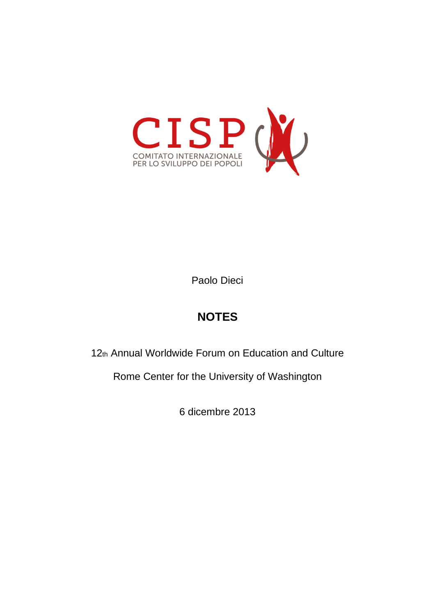

Paolo Dieci

# **NOTES**

12th Annual Worldwide Forum on Education and Culture

Rome Center for the University of Washington

6 dicembre 2013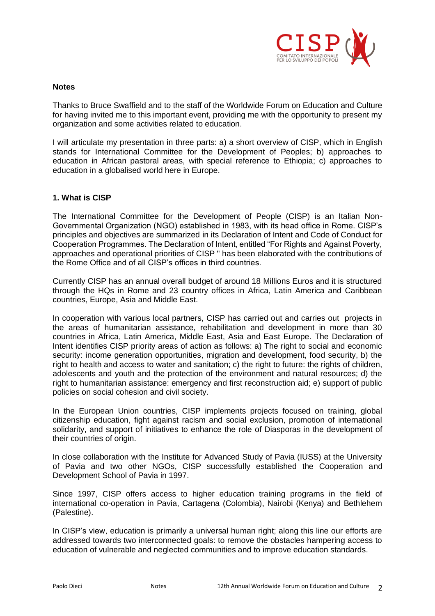

#### **Notes**

Thanks to Bruce Swaffield and to the staff of the Worldwide Forum on Education and Culture for having invited me to this important event, providing me with the opportunity to present my organization and some activities related to education.

I will articulate my presentation in three parts: a) a short overview of CISP, which in English stands for International Committee for the Development of Peoples; b) approaches to education in African pastoral areas, with special reference to Ethiopia; c) approaches to education in a globalised world here in Europe.

### **1. What is CISP**

The International Committee for the Development of People (CISP) is an Italian Non-Governmental Organization (NGO) established in 1983, with its head office in Rome. CISP's principles and objectives are summarized in its Declaration of Intent and Code of Conduct for Cooperation Programmes. The Declaration of Intent, entitled "For Rights and Against Poverty, approaches and operational priorities of CISP " has been elaborated with the contributions of the Rome Office and of all CISP's offices in third countries.

Currently CISP has an annual overall budget of around 18 Millions Euros and it is structured through the HQs in Rome and 23 country offices in Africa, Latin America and Caribbean countries, Europe, Asia and Middle East.

In cooperation with various local partners, CISP has carried out and carries out projects in the areas of humanitarian assistance, rehabilitation and development in more than 30 countries in Africa, Latin America, Middle East, Asia and East Europe. The Declaration of Intent identifies CISP priority areas of action as follows: a) The right to social and economic security: income generation opportunities, migration and development, food security, b) the right to health and access to water and sanitation; c) the right to future: the rights of children, adolescents and youth and the protection of the environment and natural resources; d) the right to humanitarian assistance: emergency and first reconstruction aid; e) support of public policies on social cohesion and civil society.

In the European Union countries, CISP implements projects focused on training, global citizenship education, fight against racism and social exclusion, promotion of international solidarity, and support of initiatives to enhance the role of Diasporas in the development of their countries of origin.

In close collaboration with the Institute for Advanced Study of Pavia (IUSS) at the University of Pavia and two other NGOs, CISP successfully established the Cooperation and Development School of Pavia in 1997.

Since 1997, CISP offers access to higher education training programs in the field of international co-operation in Pavia, Cartagena (Colombia), Nairobi (Kenya) and Bethlehem (Palestine).

In CISP's view, education is primarily a universal human right; along this line our efforts are addressed towards two interconnected goals: to remove the obstacles hampering access to education of vulnerable and neglected communities and to improve education standards.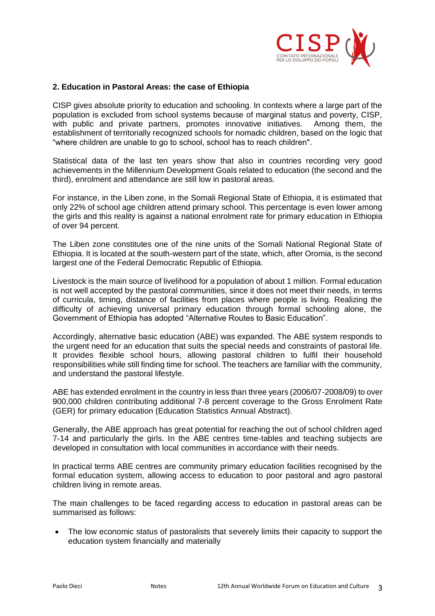

### **2. Education in Pastoral Areas: the case of Ethiopia**

CISP gives absolute priority to education and schooling. In contexts where a large part of the population is excluded from school systems because of marginal status and poverty, CISP, with public and private partners, promotes innovative initiatives. Among them, the establishment of territorially recognized schools for nomadic children, based on the logic that "where children are unable to go to school, school has to reach children".

Statistical data of the last ten years show that also in countries recording very good achievements in the Millennium Development Goals related to education (the second and the third), enrolment and attendance are still low in pastoral areas.

For instance, in the Liben zone, in the Somali Regional State of Ethiopia, it is estimated that only 22% of school age children attend primary school. This percentage is even lower among the girls and this reality is against a national enrolment rate for primary education in Ethiopia of over 94 percent.

The Liben zone constitutes one of the nine units of the Somali National Regional State of Ethiopia. It is located at the south-western part of the state, which, after Oromia, is the second largest one of the Federal Democratic Republic of Ethiopia.

Livestock is the main source of livelihood for a population of about 1 million. Formal education is not well accepted by the pastoral communities, since it does not meet their needs, in terms of curricula, timing, distance of facilities from places where people is living. Realizing the difficulty of achieving universal primary education through formal schooling alone, the Government of Ethiopia has adopted "Alternative Routes to Basic Education".

Accordingly, alternative basic education (ABE) was expanded. The ABE system responds to the urgent need for an education that suits the special needs and constraints of pastoral life. It provides flexible school hours, allowing pastoral children to fulfil their household responsibilities while still finding time for school. The teachers are familiar with the community, and understand the pastoral lifestyle.

ABE has extended enrolment in the country in less than three years (2006/07-2008/09) to over 900,000 children contributing additional 7-8 percent coverage to the Gross Enrolment Rate (GER) for primary education (Education Statistics Annual Abstract).

Generally, the ABE approach has great potential for reaching the out of school children aged 7-14 and particularly the girls. In the ABE centres time-tables and teaching subjects are developed in consultation with local communities in accordance with their needs.

In practical terms ABE centres are community primary education facilities recognised by the formal education system, allowing access to education to poor pastoral and agro pastoral children living in remote areas.

The main challenges to be faced regarding access to education in pastoral areas can be summarised as follows:

• The low economic status of pastoralists that severely limits their capacity to support the education system financially and materially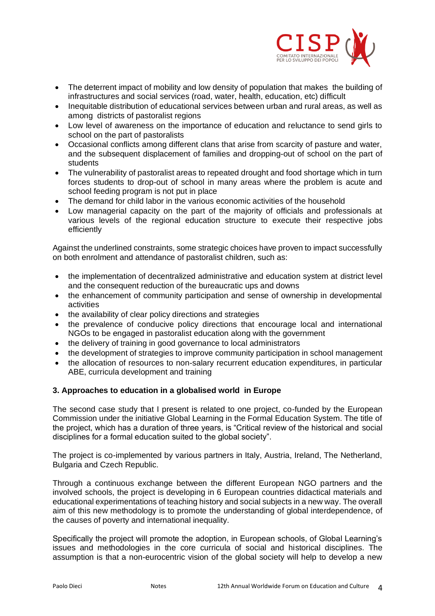

- The deterrent impact of mobility and low density of population that makes the building of infrastructures and social services (road, water, health, education, etc) difficult
- Inequitable distribution of educational services between urban and rural areas, as well as among districts of pastoralist regions
- Low level of awareness on the importance of education and reluctance to send girls to school on the part of pastoralists
- Occasional conflicts among different clans that arise from scarcity of pasture and water, and the subsequent displacement of families and dropping-out of school on the part of students
- The vulnerability of pastoralist areas to repeated drought and food shortage which in turn forces students to drop-out of school in many areas where the problem is acute and school feeding program is not put in place
- The demand for child labor in the various economic activities of the household
- Low managerial capacity on the part of the majority of officials and professionals at various levels of the regional education structure to execute their respective jobs efficiently

Against the underlined constraints, some strategic choices have proven to impact successfully on both enrolment and attendance of pastoralist children, such as:

- the implementation of decentralized administrative and education system at district level and the consequent reduction of the bureaucratic ups and downs
- the enhancement of community participation and sense of ownership in developmental activities
- the availability of clear policy directions and strategies
- the prevalence of conducive policy directions that encourage local and international NGOs to be engaged in pastoralist education along with the government
- the delivery of training in good governance to local administrators
- the development of strategies to improve community participation in school management
- the allocation of resources to non-salary recurrent education expenditures, in particular ABE, curricula development and training

## **3. Approaches to education in a globalised world in Europe**

The second case study that I present is related to one project, co-funded by the European Commission under the initiative Global Learning in the Formal Education System. The title of the project, which has a duration of three years, is "Critical review of the historical and social disciplines for a formal education suited to the global society".

The project is co-implemented by various partners in Italy, Austria, Ireland, The Netherland, Bulgaria and Czech Republic.

Through a continuous exchange between the different European NGO partners and the involved schools, the project is developing in 6 European countries didactical materials and educational experimentations of teaching history and social subjects in a new way. The overall aim of this new methodology is to promote the understanding of global interdependence, of the causes of poverty and international inequality.

Specifically the project will promote the adoption, in European schools, of Global Learning's issues and methodologies in the core curricula of social and historical disciplines. The assumption is that a non-eurocentric vision of the global society will help to develop a new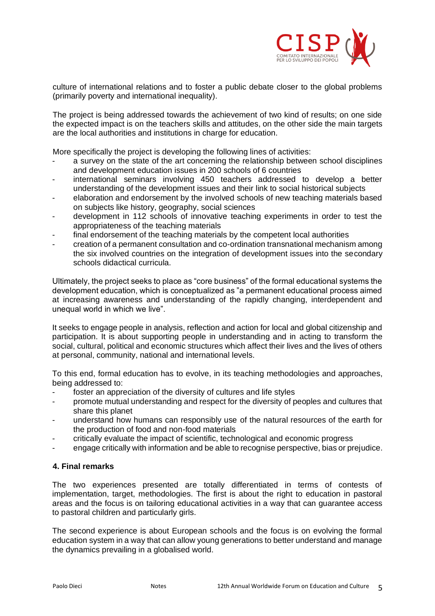

culture of international relations and to foster a public debate closer to the global problems (primarily poverty and international inequality).

The project is being addressed towards the achievement of two kind of results; on one side the expected impact is on the teachers skills and attitudes, on the other side the main targets are the local authorities and institutions in charge for education.

More specifically the project is developing the following lines of activities:

- a survey on the state of the art concerning the relationship between school disciplines and development education issues in 200 schools of 6 countries
- international seminars involving 450 teachers addressed to develop a better understanding of the development issues and their link to social historical subjects
- elaboration and endorsement by the involved schools of new teaching materials based on subjects like history, geography, social sciences
- development in 112 schools of innovative teaching experiments in order to test the appropriateness of the teaching materials
- final endorsement of the teaching materials by the competent local authorities
- creation of a permanent consultation and co-ordination transnational mechanism among the six involved countries on the integration of development issues into the secondary schools didactical curricula.

Ultimately, the project seeks to place as "core business" of the formal educational systems the development education, which is conceptualized as "a permanent educational process aimed at increasing awareness and understanding of the rapidly changing, interdependent and unequal world in which we live".

It seeks to engage people in analysis, reflection and action for local and global citizenship and participation. It is about supporting people in understanding and in acting to transform the social, cultural, political and economic structures which affect their lives and the lives of others at personal, community, national and international levels.

To this end, formal education has to evolve, in its teaching methodologies and approaches, being addressed to:

- foster an appreciation of the diversity of cultures and life styles
- promote mutual understanding and respect for the diversity of peoples and cultures that share this planet
- understand how humans can responsibly use of the natural resources of the earth for the production of food and non-food materials
- critically evaluate the impact of scientific, technological and economic progress
- engage critically with information and be able to recognise perspective, bias or prejudice.

## **4. Final remarks**

The two experiences presented are totally differentiated in terms of contests of implementation, target, methodologies. The first is about the right to education in pastoral areas and the focus is on tailoring educational activities in a way that can guarantee access to pastoral children and particularly girls.

The second experience is about European schools and the focus is on evolving the formal education system in a way that can allow young generations to better understand and manage the dynamics prevailing in a globalised world.